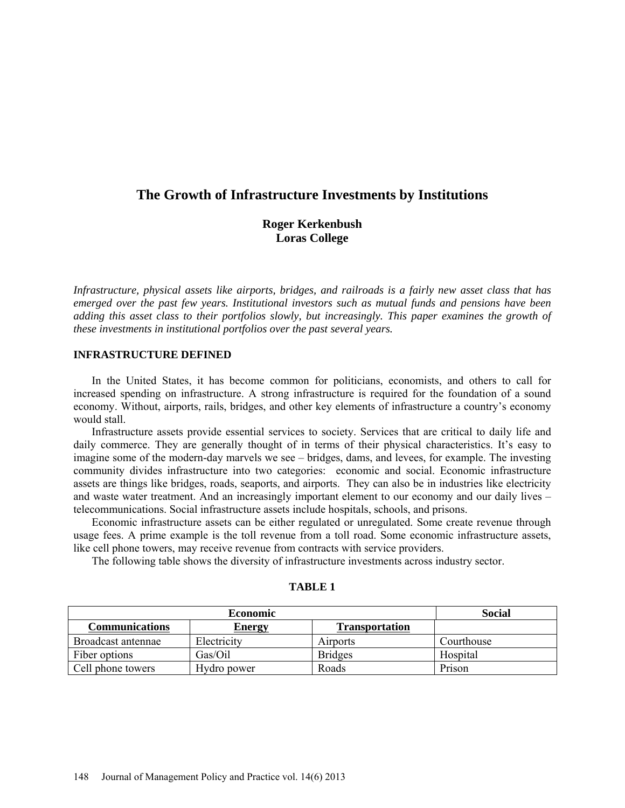# **The Growth of Infrastructure Investments by Institutions**

# **Roger Kerkenbush Loras College**

*Infrastructure, physical assets like airports, bridges, and railroads is a fairly new asset class that has emerged over the past few years. Institutional investors such as mutual funds and pensions have been adding this asset class to their portfolios slowly, but increasingly. This paper examines the growth of these investments in institutional portfolios over the past several years.*

# **INFRASTRUCTURE DEFINED**

In the United States, it has become common for politicians, economists, and others to call for increased spending on infrastructure. A strong infrastructure is required for the foundation of a sound economy. Without, airports, rails, bridges, and other key elements of infrastructure a country's economy would stall.

Infrastructure assets provide essential services to society. Services that are critical to daily life and daily commerce. They are generally thought of in terms of their physical characteristics. It's easy to imagine some of the modern-day marvels we see – bridges, dams, and levees, for example. The investing community divides infrastructure into two categories: economic and social. Economic infrastructure assets are things like bridges, roads, seaports, and airports. They can also be in industries like electricity and waste water treatment. And an increasingly important element to our economy and our daily lives – telecommunications. Social infrastructure assets include hospitals, schools, and prisons.

Economic infrastructure assets can be either regulated or unregulated. Some create revenue through usage fees. A prime example is the toll revenue from a toll road. Some economic infrastructure assets, like cell phone towers, may receive revenue from contracts with service providers.

The following table shows the diversity of infrastructure investments across industry sector.

| ABLI |  |
|------|--|
|------|--|

| <b>Economic</b>    |               |                       | <b>Social</b> |
|--------------------|---------------|-----------------------|---------------|
| Communications     | <b>Energy</b> | <b>Transportation</b> |               |
| Broadcast antennae | Electricity   | <b>Airports</b>       | Courthouse    |
| Fiber options      | Gas/Oil       | <b>Bridges</b>        | Hospital      |
| Cell phone towers  | Hydro power   | Roads                 | Prison        |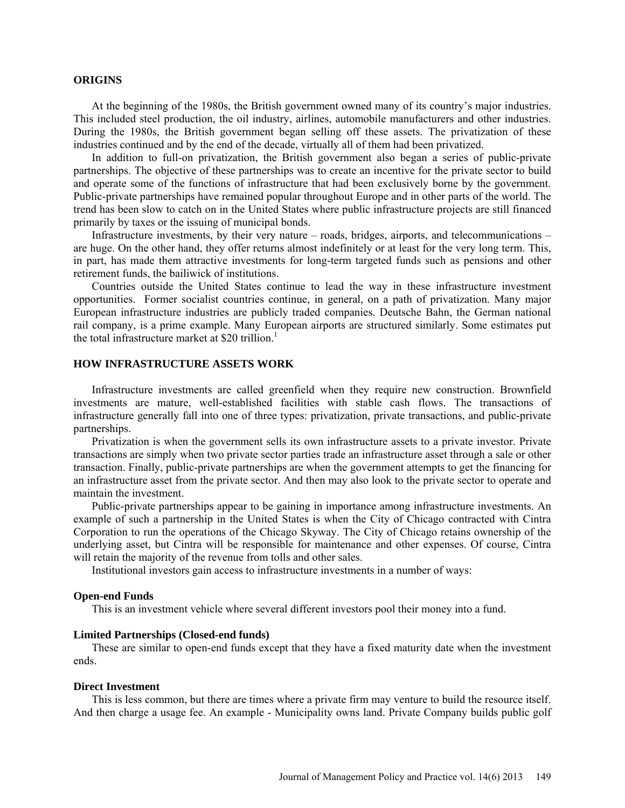## **ORIGINS**

At the beginning of the 1980s, the British government owned many of its country's major industries. This included steel production, the oil industry, airlines, automobile manufacturers and other industries. During the 1980s, the British government began selling off these assets. The privatization of these industries continued and by the end of the decade, virtually all of them had been privatized.

In addition to full-on privatization, the British government also began a series of public-private partnerships. The objective of these partnerships was to create an incentive for the private sector to build and operate some of the functions of infrastructure that had been exclusively borne by the government. Public-private partnerships have remained popular throughout Europe and in other parts of the world. The trend has been slow to catch on in the United States where public infrastructure projects are still financed primarily by taxes or the issuing of municipal bonds.

Infrastructure investments, by their very nature – roads, bridges, airports, and telecommunications – are huge. On the other hand, they offer returns almost indefinitely or at least for the very long term. This, in part, has made them attractive investments for long-term targeted funds such as pensions and other retirement funds, the bailiwick of institutions.

Countries outside the United States continue to lead the way in these infrastructure investment opportunities. Former socialist countries continue, in general, on a path of privatization. Many major European infrastructure industries are publicly traded companies. Deutsche Bahn, the German national rail company, is a prime example. Many European airports are structured similarly. Some estimates put the total infrastructure market at \$20 trillion.<sup>1</sup>

# **HOW INFRASTRUCTURE ASSETS WORK**

Infrastructure investments are called greenfield when they require new construction. Brownfield investments are mature, well-established facilities with stable cash flows. The transactions of infrastructure generally fall into one of three types: privatization, private transactions, and public-private partnerships.

Privatization is when the government sells its own infrastructure assets to a private investor. Private transactions are simply when two private sector parties trade an infrastructure asset through a sale or other transaction. Finally, public-private partnerships are when the government attempts to get the financing for an infrastructure asset from the private sector. And then may also look to the private sector to operate and maintain the investment.

Public-private partnerships appear to be gaining in importance among infrastructure investments. An example of such a partnership in the United States is when the City of Chicago contracted with Cintra Corporation to run the operations of the Chicago Skyway. The City of Chicago retains ownership of the underlying asset, but Cintra will be responsible for maintenance and other expenses. Of course, Cintra will retain the majority of the revenue from tolls and other sales.

Institutional investors gain access to infrastructure investments in a number of ways:

## **Open-end Funds**

This is an investment vehicle where several different investors pool their money into a fund.

### **Limited Partnerships (Closed-end funds)**

These are similar to open-end funds except that they have a fixed maturity date when the investment ends.

#### **Direct Investment**

This is less common, but there are times where a private firm may venture to build the resource itself. And then charge a usage fee. An example - Municipality owns land. Private Company builds public golf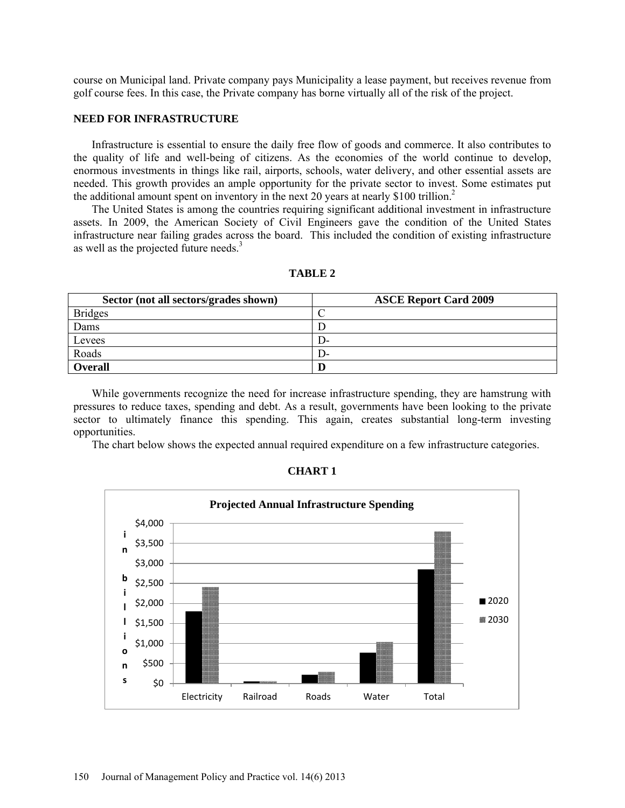course on Municipal land. Private company pays Municipality a lease payment, but receives revenue from golf course fees. In this case, the Private company has borne virtually all of the risk of the project.

## **NEED FOR INFRASTRUCTURE**

Infrastructure is essential to ensure the daily free flow of goods and commerce. It also contributes to the quality of life and well-being of citizens. As the economies of the world continue to develop, enormous investments in things like rail, airports, schools, water delivery, and other essential assets are needed. This growth provides an ample opportunity for the private sector to invest. Some estimates put the additional amount spent on inventory in the next 20 years at nearly  $$100$  trillion.<sup>2</sup>

The United States is among the countries requiring significant additional investment in infrastructure assets. In 2009, the American Society of Civil Engineers gave the condition of the United States infrastructure near failing grades across the board. This included the condition of existing infrastructure as well as the projected future needs.<sup>3</sup>

| Sector (not all sectors/grades shown) | <b>ASCE Report Card 2009</b> |
|---------------------------------------|------------------------------|
| <b>Bridges</b>                        |                              |
| Dams                                  |                              |
| Levees                                | . J-                         |
| Roads                                 | I J-                         |
| <b>Overall</b>                        |                              |

**TABLE 2**

While governments recognize the need for increase infrastructure spending, they are hamstrung with pressures to reduce taxes, spending and debt. As a result, governments have been looking to the private sector to ultimately finance this spending. This again, creates substantial long-term investing opportunities.

The chart below shows the expected annual required expenditure on a few infrastructure categories.

| 'HAR'I |  |  |
|--------|--|--|
|--------|--|--|